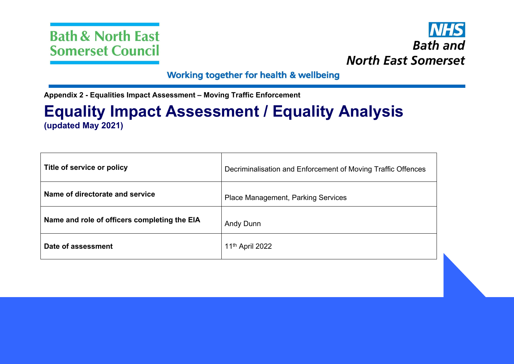



## Working together for health & wellbeing

**Appendix 2 - Equalities Impact Assessment – Moving Traffic Enforcement**

# **Equality Impact Assessment / Equality Analysis (updated May 2021)**

| Title of service or policy                   | Decriminalisation and Enforcement of Moving Traffic Offences |
|----------------------------------------------|--------------------------------------------------------------|
| Name of directorate and service              | <b>Place Management, Parking Services</b>                    |
| Name and role of officers completing the EIA | Andy Dunn                                                    |
| Date of assessment                           | 11 <sup>th</sup> April 2022                                  |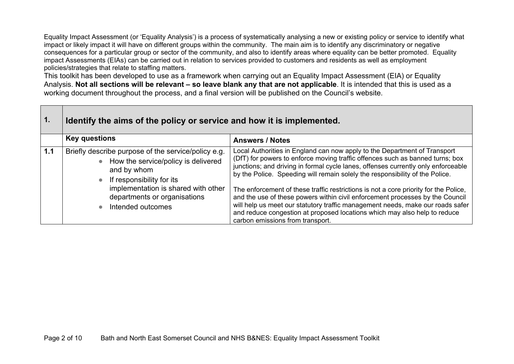Equality Impact Assessment (or 'Equality Analysis') is a process of systematically analysing a new or existing policy or service to identify what impact or likely impact it will have on different groups within the community. The main aim is to identify any discriminatory or negative consequences for a particular group or sector of the community, and also to identify areas where equality can be better promoted. Equality impact Assessments (EIAs) can be carried out in relation to services provided to customers and residents as well as employment policies/strategies that relate to staffing matters.

This toolkit has been developed to use as a framework when carrying out an Equality Impact Assessment (EIA) or Equality Analysis. Not all sections will be relevant – so leave blank any that are not applicable. It is intended that this is used as a working document throughout the process, and a final version will be published on the Council's website.

| 1.  | Identify the aims of the policy or service and how it is implemented.                                                                                 |                                                                                                                                                                                                                                                                                                                                                                          |  |
|-----|-------------------------------------------------------------------------------------------------------------------------------------------------------|--------------------------------------------------------------------------------------------------------------------------------------------------------------------------------------------------------------------------------------------------------------------------------------------------------------------------------------------------------------------------|--|
|     | <b>Key questions</b>                                                                                                                                  | <b>Answers / Notes</b>                                                                                                                                                                                                                                                                                                                                                   |  |
| 1.1 | Briefly describe purpose of the service/policy e.g.<br>• How the service/policy is delivered<br>and by whom<br>If responsibility for its<br>$\bullet$ | Local Authorities in England can now apply to the Department of Transport<br>(DfT) for powers to enforce moving traffic offences such as banned turns; box<br>junctions; and driving in formal cycle lanes, offenses currently only enforceable<br>by the Police. Speeding will remain solely the responsibility of the Police.                                          |  |
|     | implementation is shared with other<br>departments or organisations<br>Intended outcomes<br>$\bullet$                                                 | The enforcement of these traffic restrictions is not a core priority for the Police,<br>and the use of these powers within civil enforcement processes by the Council<br>will help us meet our statutory traffic management needs, make our roads safer<br>and reduce congestion at proposed locations which may also help to reduce<br>carbon emissions from transport. |  |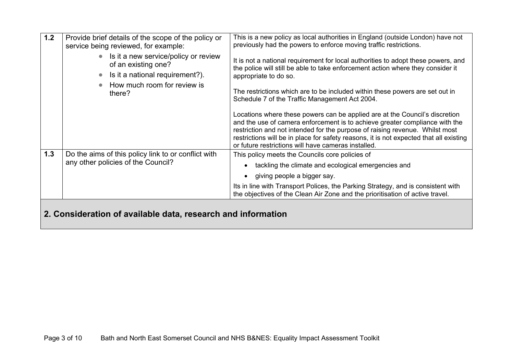| 1.2 | Provide brief details of the scope of the policy or<br>service being reviewed, for example:                                                | This is a new policy as local authorities in England (outside London) have not<br>previously had the powers to enforce moving traffic restrictions.                                                                                                                                                                                                                                         |  |  |
|-----|--------------------------------------------------------------------------------------------------------------------------------------------|---------------------------------------------------------------------------------------------------------------------------------------------------------------------------------------------------------------------------------------------------------------------------------------------------------------------------------------------------------------------------------------------|--|--|
|     | Is it a new service/policy or review<br>$\bullet$<br>of an existing one?<br>Is it a national requirement?).<br>How much room for review is | It is not a national requirement for local authorities to adopt these powers, and<br>the police will still be able to take enforcement action where they consider it<br>appropriate to do so.                                                                                                                                                                                               |  |  |
|     | there?                                                                                                                                     | The restrictions which are to be included within these powers are set out in<br>Schedule 7 of the Traffic Management Act 2004.                                                                                                                                                                                                                                                              |  |  |
|     |                                                                                                                                            | Locations where these powers can be applied are at the Council's discretion<br>and the use of camera enforcement is to achieve greater compliance with the<br>restriction and not intended for the purpose of raising revenue. Whilst most<br>restrictions will be in place for safety reasons, it is not expected that all existing<br>or future restrictions will have cameras installed. |  |  |
| 1.3 | Do the aims of this policy link to or conflict with                                                                                        | This policy meets the Councils core policies of                                                                                                                                                                                                                                                                                                                                             |  |  |
|     | any other policies of the Council?                                                                                                         | tackling the climate and ecological emergencies and                                                                                                                                                                                                                                                                                                                                         |  |  |
|     |                                                                                                                                            | giving people a bigger say.<br>$\bullet$                                                                                                                                                                                                                                                                                                                                                    |  |  |
|     |                                                                                                                                            | Its in line with Transport Polices, the Parking Strategy, and is consistent with<br>the objectives of the Clean Air Zone and the prioritisation of active travel.                                                                                                                                                                                                                           |  |  |
|     | 2. Consideration of available data, research and information                                                                               |                                                                                                                                                                                                                                                                                                                                                                                             |  |  |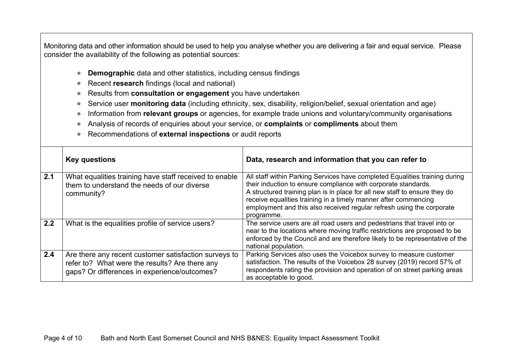Monitoring data and other information should be used to help you analyse whether you are delivering a fair and equal service. Please consider the availability of the following as potential sources:

- **Demographic** data and other statistics, including census findings
- Recent **research** findings (local and national)
- Results from **consultation or engagement** you have undertaken
- Service user **monitoring data** (including ethnicity, sex, disability, religion/belief, sexual orientation and age)
- **Information from <b>relevant groups** or agencies, for example trade unions and voluntary/community organisations
- Analysis of records of enquiries about your service, or **complaints** or **compliments** about them
- Recommendations of **external inspections** or audit reports

|     | <b>Key questions</b>                                                                                                                                    | Data, research and information that you can refer to                                                                                                                                                                                                                                                                                                                                  |
|-----|---------------------------------------------------------------------------------------------------------------------------------------------------------|---------------------------------------------------------------------------------------------------------------------------------------------------------------------------------------------------------------------------------------------------------------------------------------------------------------------------------------------------------------------------------------|
| 2.1 | What equalities training have staff received to enable<br>them to understand the needs of our diverse<br>community?                                     | All staff within Parking Services have completed Equalities training during<br>their induction to ensure compliance with corporate standards.<br>A structured training plan is in place for all new staff to ensure they do<br>receive equalities training in a timely manner after commencing<br>employment and this also received regular refresh using the corporate<br>programme. |
| 2.2 | What is the equalities profile of service users?                                                                                                        | The service users are all road users and pedestrians that travel into or<br>near to the locations where moving traffic restrictions are proposed to be<br>enforced by the Council and are therefore likely to be representative of the<br>national population.                                                                                                                        |
| 2.4 | Are there any recent customer satisfaction surveys to<br>refer to? What were the results? Are there any<br>gaps? Or differences in experience/outcomes? | Parking Services also uses the Voicebox survey to measure customer<br>satisfaction. The results of the Voicebox 28 survey (2019) record 57% of<br>respondents rating the provision and operation of on street parking areas<br>as acceptable to good.                                                                                                                                 |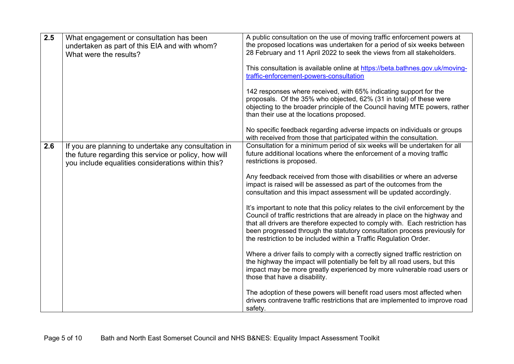| 2.5 | What engagement or consultation has been<br>undertaken as part of this EIA and with whom?<br>What were the results? | A public consultation on the use of moving traffic enforcement powers at<br>the proposed locations was undertaken for a period of six weeks between<br>28 February and 11 April 2022 to seek the views from all stakeholders.<br>This consultation is available online at https://beta.bathnes.gov.uk/moving-<br>traffic-enforcement-powers-consultation<br>142 responses where received, with 65% indicating support for the<br>proposals. Of the 35% who objected, 62% (31 in total) of these were<br>objecting to the broader principle of the Council having MTE powers, rather<br>than their use at the locations proposed. |
|-----|---------------------------------------------------------------------------------------------------------------------|----------------------------------------------------------------------------------------------------------------------------------------------------------------------------------------------------------------------------------------------------------------------------------------------------------------------------------------------------------------------------------------------------------------------------------------------------------------------------------------------------------------------------------------------------------------------------------------------------------------------------------|
| 2.6 | If you are planning to undertake any consultation in                                                                | No specific feedback regarding adverse impacts on individuals or groups<br>with received from those that participated within the consultation.<br>Consultation for a minimum period of six weeks will be undertaken for all                                                                                                                                                                                                                                                                                                                                                                                                      |
|     | the future regarding this service or policy, how will<br>you include equalities considerations within this?         | future additional locations where the enforcement of a moving traffic<br>restrictions is proposed.                                                                                                                                                                                                                                                                                                                                                                                                                                                                                                                               |
|     |                                                                                                                     | Any feedback received from those with disabilities or where an adverse<br>impact is raised will be assessed as part of the outcomes from the<br>consultation and this impact assessment will be updated accordingly.                                                                                                                                                                                                                                                                                                                                                                                                             |
|     |                                                                                                                     | It's important to note that this policy relates to the civil enforcement by the<br>Council of traffic restrictions that are already in place on the highway and<br>that all drivers are therefore expected to comply with. Each restriction has<br>been progressed through the statutory consultation process previously for<br>the restriction to be included within a Traffic Regulation Order.                                                                                                                                                                                                                                |
|     |                                                                                                                     | Where a driver fails to comply with a correctly signed traffic restriction on<br>the highway the impact will potentially be felt by all road users, but this<br>impact may be more greatly experienced by more vulnerable road users or<br>those that have a disability.                                                                                                                                                                                                                                                                                                                                                         |
|     |                                                                                                                     | The adoption of these powers will benefit road users most affected when<br>drivers contravene traffic restrictions that are implemented to improve road<br>safety.                                                                                                                                                                                                                                                                                                                                                                                                                                                               |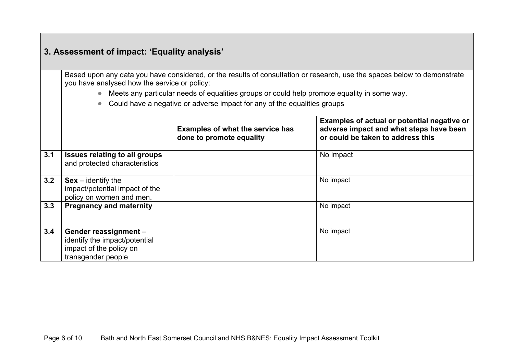# **3. Assessment of impact: 'Equality analysis'**

Based upon any data you have considered, or the results of consultation or research, use the spaces below to demonstrate you have analysed how the service or policy:

Meets any particular needs of equalities groups or could help promote equality in some way.

• Could have a negative or adverse impact for any of the equalities groups

|     |                                                                                                         | <b>Examples of what the service has</b><br>done to promote equality | Examples of actual or potential negative or<br>adverse impact and what steps have been<br>or could be taken to address this |  |
|-----|---------------------------------------------------------------------------------------------------------|---------------------------------------------------------------------|-----------------------------------------------------------------------------------------------------------------------------|--|
| 3.1 | <b>Issues relating to all groups</b><br>and protected characteristics                                   |                                                                     | No impact                                                                                                                   |  |
| 3.2 | $Sex - identity$ the<br>impact/potential impact of the<br>policy on women and men.                      |                                                                     | No impact                                                                                                                   |  |
| 3.3 | <b>Pregnancy and maternity</b>                                                                          |                                                                     | No impact                                                                                                                   |  |
| 3.4 | Gender reassignment -<br>identify the impact/potential<br>impact of the policy on<br>transgender people |                                                                     | No impact                                                                                                                   |  |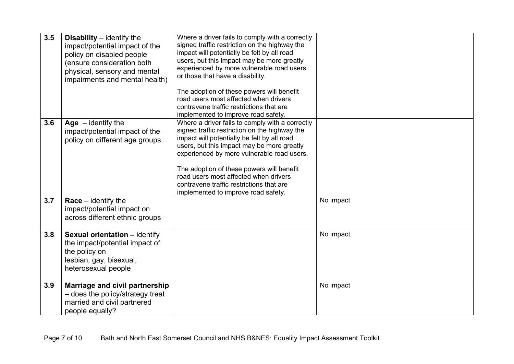| 3.5 | <b>Disability</b> $-$ identify the<br>impact/potential impact of the<br>policy on disabled people<br>(ensure consideration both<br>physical, sensory and mental<br>impairments and mental health) | Where a driver fails to comply with a correctly<br>signed traffic restriction on the highway the<br>impact will potentially be felt by all road<br>users, but this impact may be more greatly<br>experienced by more vulnerable road users<br>or those that have a disability.                                                                                                                                       |           |
|-----|---------------------------------------------------------------------------------------------------------------------------------------------------------------------------------------------------|----------------------------------------------------------------------------------------------------------------------------------------------------------------------------------------------------------------------------------------------------------------------------------------------------------------------------------------------------------------------------------------------------------------------|-----------|
|     |                                                                                                                                                                                                   | The adoption of these powers will benefit<br>road users most affected when drivers<br>contravene traffic restrictions that are<br>implemented to improve road safety.                                                                                                                                                                                                                                                |           |
| 3.6 | Age $-$ identify the<br>impact/potential impact of the<br>policy on different age groups                                                                                                          | Where a driver fails to comply with a correctly<br>signed traffic restriction on the highway the<br>impact will potentially be felt by all road<br>users, but this impact may be more greatly<br>experienced by more vulnerable road users.<br>The adoption of these powers will benefit<br>road users most affected when drivers<br>contravene traffic restrictions that are<br>implemented to improve road safety. |           |
| 3.7 | $Race - identity the$<br>impact/potential impact on<br>across different ethnic groups                                                                                                             |                                                                                                                                                                                                                                                                                                                                                                                                                      | No impact |
| 3.8 | <b>Sexual orientation - identify</b><br>the impact/potential impact of<br>the policy on<br>lesbian, gay, bisexual,<br>heterosexual people                                                         |                                                                                                                                                                                                                                                                                                                                                                                                                      | No impact |
| 3.9 | Marriage and civil partnership<br>- does the policy/strategy treat<br>married and civil partnered<br>people equally?                                                                              |                                                                                                                                                                                                                                                                                                                                                                                                                      | No impact |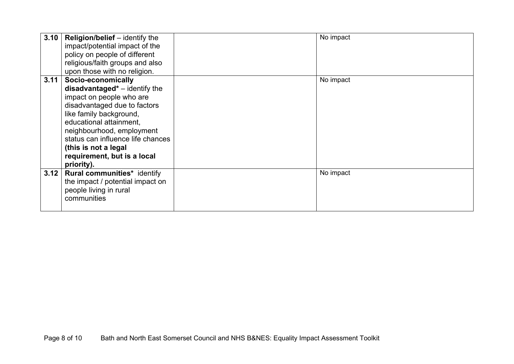| 3.10 | <b>Religion/belief</b> – identify the | No impact |
|------|---------------------------------------|-----------|
|      | impact/potential impact of the        |           |
|      | policy on people of different         |           |
|      | religious/faith groups and also       |           |
|      | upon those with no religion.          |           |
| 3.11 | Socio-economically                    | No impact |
|      | $disadvantage'd* - identity$ the      |           |
|      | impact on people who are              |           |
|      | disadvantaged due to factors          |           |
|      | like family background,               |           |
|      | educational attainment,               |           |
|      | neighbourhood, employment             |           |
|      | status can influence life chances     |           |
|      | (this is not a legal                  |           |
|      | requirement, but is a local           |           |
|      | priority).                            |           |
| 3.12 | Rural communities* identify           | No impact |
|      | the impact / potential impact on      |           |
|      | people living in rural                |           |
|      | communities                           |           |
|      |                                       |           |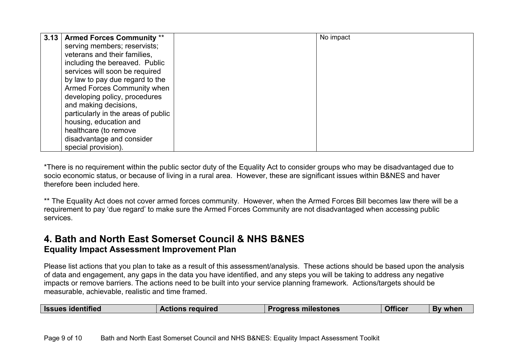| 3.13   Armed Forces Community **    | No impact |  |
|-------------------------------------|-----------|--|
| serving members; reservists;        |           |  |
| veterans and their families,        |           |  |
| including the bereaved. Public      |           |  |
| services will soon be required      |           |  |
| by law to pay due regard to the     |           |  |
| <b>Armed Forces Community when</b>  |           |  |
| developing policy, procedures       |           |  |
| and making decisions,               |           |  |
| particularly in the areas of public |           |  |
| housing, education and              |           |  |
| healthcare (to remove               |           |  |
| disadvantage and consider           |           |  |
| special provision).                 |           |  |

\*There is no requirement within the public sector duty of the Equality Act to consider groups who may be disadvantaged due to socio economic status, or because of living in a rural area. However, these are significant issues within B&NES and haver therefore been included here.

\*\* The Equality Act does not cover armed forces community. However, when the Armed Forces Bill becomes law there will be a requirement to pay 'due regard' to make sure the Armed Forces Community are not disadvantaged when accessing public services.

#### **4. Bath and North East Somerset Council & NHS B&NES Equality Impact Assessment Improvement Plan**

Please list actions that you plan to take as a result of this assessment/analysis. These actions should be based upon the analysis of data and engagement, any gaps in the data you have identified, and any steps you will be taking to address any negative impacts or remove barriers. The actions need to be built into your service planning framework. Actions/targets should be measurable, achievable, realistic and time framed.

| <b>Issues identified</b> | <b>Actions required</b> | <b>Progress milestones</b> | <b>Officer</b> | By when |
|--------------------------|-------------------------|----------------------------|----------------|---------|
|--------------------------|-------------------------|----------------------------|----------------|---------|